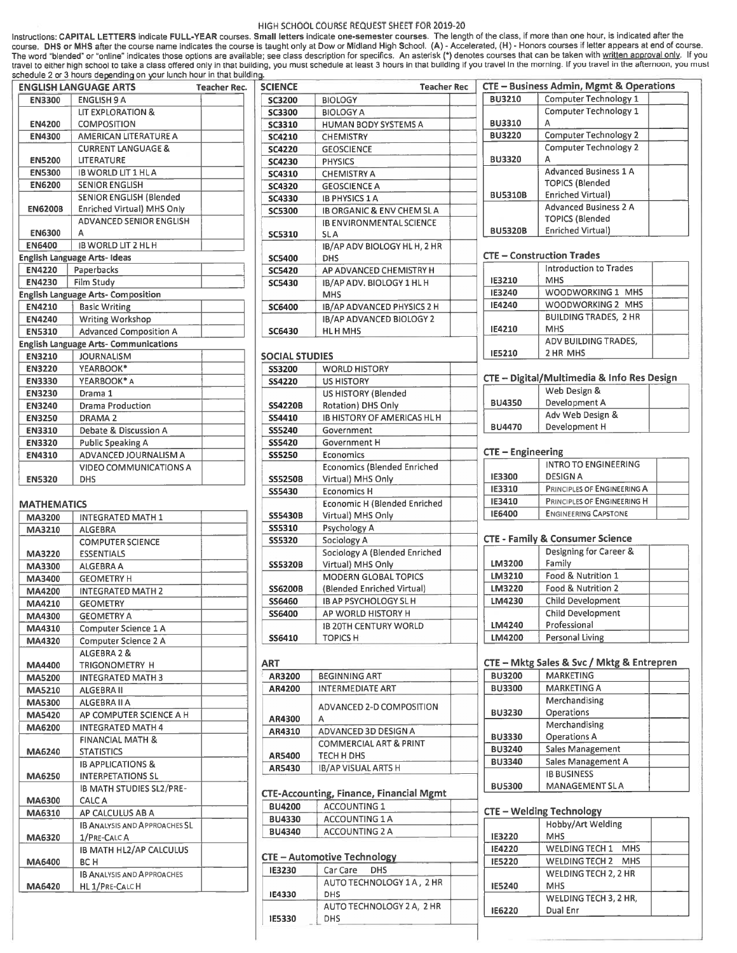## HIGH SCHOOL COURSE REQUEST SHEET FOR 2019-20

Instructions: CAPITAL LETTERS indicate FULL-YEAR courses. Small letters indicate one-semester courses. The length of the class, if more than one hour, is indicated after the course. DHS or MHS after the course name indicates the course is taught only at Dow or Midland High School. (A) - Accelerated, (H) - Honors courses if letter appears at end of course.<br>The word "blended" or "online" indica schedule 2 or 3 hours depending on your lunch hour in that building.

|                | <b>ENGLISH LANGUAGE ARTS</b>                 | <b>Teacher Rec.</b> | <b>SCIENCE</b>        | <b>Teacher Rec</b>                                      |  |
|----------------|----------------------------------------------|---------------------|-----------------------|---------------------------------------------------------|--|
| <b>EN3300</b>  | <b>ENGLISH 9 A</b>                           |                     | <b>SC3200</b>         | <b>BIOLOGY</b>                                          |  |
|                | <b>LIT EXPLORATION &amp;</b>                 |                     | <b>SC3300</b>         | <b>BIOLOGY A</b>                                        |  |
| <b>EN4200</b>  | <b>COMPOSITION</b>                           |                     | <b>SC3310</b>         | <b>HUMAN BODY SYSTEMS A</b>                             |  |
| <b>EN4300</b>  | AMERICAN LITERATURE A                        |                     | <b>SC4210</b>         | <b>CHEMISTRY</b>                                        |  |
|                | <b>CURRENT LANGUAGE &amp;</b>                |                     | <b>SC4220</b>         | <b>GEOSCIENCE</b>                                       |  |
| <b>EN5200</b>  | LITERATURE                                   |                     | <b>SC4230</b>         | <b>PHYSICS</b>                                          |  |
| <b>EN5300</b>  | <b>IB WORLD LIT 1 HL A</b>                   |                     | SC4310                | <b>CHEMISTRY A</b>                                      |  |
| <b>EN6200</b>  | <b>SENIOR ENGLISH</b>                        |                     | <b>SC4320</b>         | <b>GEOSCIENCE A</b>                                     |  |
|                | <b>SENIOR ENGLISH (Blended)</b>              |                     | <b>SC4330</b>         | <b>IB PHYSICS 1 A</b>                                   |  |
| <b>EN6200B</b> | <b>Enriched Virtual) MHS Only</b>            |                     | <b>SC5300</b>         | <b>IB ORGANIC &amp; ENV CHEM SLA</b>                    |  |
|                | <b>ADVANCED SENIOR ENGLISH</b>               |                     |                       | <b>IB ENVIRONMENTAL SCIENCE</b>                         |  |
| <b>EN6300</b>  | A                                            |                     | SC5310                | <b>SLA</b>                                              |  |
| <b>EN6400</b>  | <b>IB WORLD LIT 2 HL H</b>                   |                     |                       | IB/AP ADV BIOLOGY HL H, 2 HR                            |  |
|                | <b>English Language Arts- Ideas</b>          |                     | <b>SC5400</b>         | <b>DHS</b>                                              |  |
| <b>EN4220</b>  | Paperbacks                                   |                     | <b>SC5420</b>         | AP ADVANCED CHEMISTRY H                                 |  |
| <b>EN4230</b>  | Film Study                                   |                     | <b>SC5430</b>         | IB/AP ADV. BIOLOGY 1 HL H                               |  |
|                | <b>English Language Arts- Composition</b>    |                     |                       | <b>MHS</b>                                              |  |
| <b>EN4210</b>  | <b>Basic Writing</b>                         |                     | SC6400                | IB/AP ADVANCED PHYSICS 2 H                              |  |
| <b>EN4240</b>  | Writing Workshop                             |                     |                       | IB/AP ADVANCED BIOLOGY 2                                |  |
| <b>EN5310</b>  | <b>Advanced Composition A</b>                |                     | <b>SC6430</b>         | <b>HLH MHS</b>                                          |  |
|                | <b>English Language Arts- Communications</b> |                     |                       |                                                         |  |
| <b>EN3210</b>  | <b>JOURNALISM</b>                            |                     | <b>SOCIAL STUDIES</b> |                                                         |  |
| <b>EN3220</b>  | YEARBOOK*                                    |                     | <b>SS3200</b>         | <b>WORLD HISTORY</b>                                    |  |
| <b>EN3330</b>  | YEARBOOK* A                                  |                     | <b>SS4220</b>         | <b>US HISTORY</b>                                       |  |
| <b>EN3230</b>  | Drama 1                                      |                     |                       | <b>US HISTORY (Blended</b>                              |  |
| <b>EN3240</b>  | <b>Drama Production</b>                      |                     | <b>SS4220B</b>        | <b>Rotation) DHS Only</b>                               |  |
| <b>EN3250</b>  | DRAMA <sub>2</sub>                           |                     | <b>SS4410</b>         | <b>IB HISTORY OF AMERICAS HL H</b>                      |  |
| <b>EN3310</b>  | Debate & Discussion A                        |                     | <b>SS5240</b>         | Government                                              |  |
| <b>EN3320</b>  | <b>Public Speaking A</b>                     |                     | <b>SS5420</b>         | <b>Government H</b>                                     |  |
| <b>EN4310</b>  | ADVANCED JOURNALISM A                        |                     | <b>SS5250</b>         | Economics                                               |  |
| <b>EN5320</b>  | VIDEO COMMUNICATIONS A<br><b>DHS</b>         |                     | <b>SS5250B</b>        | <b>Economics (Blended Enriched</b><br>Virtual) MHS Only |  |

# MATHEMATICS

| MA3200        | <b>INTEGRATED MATH 1</b>             |  |
|---------------|--------------------------------------|--|
| MA3210        | <b>ALGEBRA</b>                       |  |
|               | <b>COMPUTER SCIENCE</b>              |  |
| MA3220        | <b>ESSENTIALS</b>                    |  |
| MA3300        | ALGEBRA A                            |  |
| MA3400        | <b>GEOMETRY H</b>                    |  |
| MA4200        | <b>INTEGRATED MATH 2</b>             |  |
| <b>MA4210</b> | <b>GEOMETRY</b>                      |  |
| MA4300        | <b>GEOMETRY A</b>                    |  |
| MA4310        | Computer Science 1 A                 |  |
| MA4320        | Computer Science 2 A                 |  |
|               | ALGEBRA 2 &                          |  |
| MA4400        | <b>TRIGONOMETRY H</b>                |  |
| <b>MA5200</b> | <b>INTEGRATED MATH 3</b>             |  |
| <b>MA5210</b> | <b>ALGEBRA II</b>                    |  |
| MA5300        | <b>ALGEBRA II A</b>                  |  |
| <b>MA5420</b> | AP COMPUTER SCIENCE A H              |  |
| MA6200        | <b>INTEGRATED MATH 4</b>             |  |
|               | <b>FINANCIAL MATH &amp;</b>          |  |
| MA6240        | <b>STATISTICS</b>                    |  |
|               | <b>IB APPLICATIONS &amp;</b>         |  |
| MA6250        | <b>INTERPETATIONS SL</b>             |  |
|               | IB MATH STUDIES SL2/PRE-             |  |
| MA6300        | CALC A                               |  |
| MA6310        | AP CALCULUS AB A                     |  |
|               | <b>IB ANALYSIS AND APPROACHES SL</b> |  |
| MA6320        | 1/PRE-CALC A                         |  |
|               | <b>IB MATH HL2/AP CALCULUS</b>       |  |
| MA6400        | BC H                                 |  |
|               | <b>IB ANALYSIS AND APPROACHES</b>    |  |
| MA6420        | HL 1/PRE-CALCH                       |  |

| <b>SC3200</b>         | <b>BIOLOGY</b>                       |  |
|-----------------------|--------------------------------------|--|
| <b>SC3300</b>         | <b>BIOLOGY A</b>                     |  |
| <b>SC3310</b>         | HUMAN BODY SYSTEMS A                 |  |
| <b>SC4210</b>         | <b>CHEMISTRY</b>                     |  |
| <b>SC4220</b>         | <b>GEOSCIENCE</b>                    |  |
| <b>SC4230</b>         | <b>PHYSICS</b>                       |  |
| <b>SC4310</b>         | <b>CHEMISTRY A</b>                   |  |
| <b>SC4320</b>         | <b>GEOSCIENCE A</b>                  |  |
| <b>SC4330</b>         | <b>IB PHYSICS 1 A</b>                |  |
| <b>SC5300</b>         | <b>IB ORGANIC &amp; ENV CHEM SLA</b> |  |
|                       | <b>IB ENVIRONMENTAL SCIENCE</b>      |  |
| <b>SC5310</b>         | <b>SLA</b>                           |  |
|                       | IB/AP ADV BIOLOGY HL H, 2 HR         |  |
| <b>SC5400</b>         | DHS                                  |  |
| <b>SC5420</b>         | AP ADVANCED CHEMISTRY H              |  |
| <b>SC5430</b>         | IB/AP ADV. BIOLOGY 1 HL H            |  |
|                       | <b>MHS</b>                           |  |
| SC6400                | IB/AP ADVANCED PHYSICS 2 H           |  |
|                       | <b>IB/AP ADVANCED BIOLOGY 2</b>      |  |
| <b>SC6430</b>         | HLH MHS                              |  |
| <b>SOCIAL STUDIES</b> |                                      |  |
| <b>SS3200</b>         | <b>WORLD HISTORY</b>                 |  |
| <b>SS4220</b>         | <b>US HISTORY</b>                    |  |
|                       | US HISTORY (Blended                  |  |
| <b>SS4220B</b>        | <b>Rotation) DHS Only</b>            |  |
| <b>SS4410</b>         | <b>IB HISTORY OF AMERICAS HL H</b>   |  |
| <b>SS5240</b>         | Government                           |  |
| <b>SS5420</b>         | Government H                         |  |
| <b>SS5250</b>         | Economics                            |  |
|                       | <b>Economics (Blended Enriched</b>   |  |
| <b>SS5250B</b>        | Virtual) MHS Only                    |  |
| <b>SS5430</b>         | <b>Economics H</b>                   |  |
|                       | <b>Economic H (Blended Enriched</b>  |  |

| <b>SS5250B</b> | Virtual) MHS Only                   |
|----------------|-------------------------------------|
| <b>SS5430</b>  | <b>Economics H</b>                  |
|                | <b>Economic H (Blended Enriched</b> |
| <b>SS5430B</b> | Virtual) MHS Only                   |
| <b>SS5310</b>  | Psychology A                        |
| <b>SS5320</b>  | Sociology A                         |
|                | Sociology A (Blended Enriched       |
| <b>SS5320B</b> | Virtual) MHS Only                   |
|                | <b>MODERN GLOBAL TOPICS</b>         |
| <b>SS6200B</b> | (Blended Enriched Virtual)          |
| <b>SS6460</b>  | <b>IB AP PSYCHOLOGY SL H</b>        |
| <b>SS6400</b>  | AP WORLD HISTORY H                  |
|                | <b>IB 20TH CENTURY WORLD</b>        |
| <b>SS6410</b>  | <b>TOPICS H</b>                     |

| <b>BEGINNING ART</b>              |  |
|-----------------------------------|--|
| <b>INTERMEDIATE ART</b>           |  |
| ADVANCED 2-D COMPOSITION          |  |
| А                                 |  |
| ADVANCED 3D DESIGN A              |  |
| <b>COMMERCIAL ART &amp; PRINT</b> |  |
| TECH H DHS                        |  |
| <b>IB/AP VISUAL ARTS H</b>        |  |
|                                   |  |

| CTE-Accounting, Finance, Financial Mgmt |                       |  |
|-----------------------------------------|-----------------------|--|
| <b>BU4200</b>                           | <b>ACCOUNTING 1</b>   |  |
| <b>BU4330</b>                           | <b>ACCOUNTING 1 A</b> |  |
| <b>BU4340</b>                           | <b>ACCOUNTING 2 A</b> |  |

# CTE — Automotive Technology

| IE3230        | Car Care<br><b>DHS</b>    |  |
|---------------|---------------------------|--|
|               | AUTO TECHNOLOGY 1A, 2 HR  |  |
| <b>IE4330</b> | <b>DHS</b>                |  |
|               | AUTO TECHNOLOGY 2 A, 2 HR |  |
| <b>IE5330</b> | <b>DHS</b>                |  |
|               |                           |  |

| CTE - Business Admin, Mgmt & Operations |                              |  |  |  |
|-----------------------------------------|------------------------------|--|--|--|
| <b>BU3210</b>                           | Computer Technology 1        |  |  |  |
|                                         | Computer Technology 1        |  |  |  |
| <b>BU3310</b>                           | А                            |  |  |  |
| <b>BU3220</b>                           | Computer Technology 2        |  |  |  |
|                                         | Computer Technology 2        |  |  |  |
| <b>BU3320</b>                           | А                            |  |  |  |
|                                         | <b>Advanced Business 1 A</b> |  |  |  |
|                                         | <b>TOPICS (Blended</b>       |  |  |  |
| <b>BU5310B</b>                          | <b>Enriched Virtual</b>      |  |  |  |
|                                         | <b>Advanced Business 2 A</b> |  |  |  |
|                                         | <b>TOPICS (Blended</b>       |  |  |  |
| <b>BU5320B</b>                          | Enriched Virtual)            |  |  |  |
|                                         |                              |  |  |  |

# CTE — Construction Trades

|               | Introduction to Trades       |  |
|---------------|------------------------------|--|
| IE3210        | <b>MHS</b>                   |  |
| <b>IE3240</b> | WOODWORKING 1 MHS            |  |
| IE4240        | WOODWORKING 2 MHS            |  |
|               | <b>BUILDING TRADES, 2 HR</b> |  |
| <b>IE4210</b> | <b>MHS</b>                   |  |
|               | ADV BUILDING TRADES.         |  |
| <b>IE5210</b> | 2 HR MHS                     |  |

### CTE — Digital/Multimedia & Info Res Design

|               | Web Design &     |  |
|---------------|------------------|--|
| <b>BU4350</b> | Development A    |  |
|               | Adv Web Design & |  |
| <b>BU4470</b> | Development H    |  |
|               |                  |  |

# CTE — Engineering

|               | INTRO TO ENGINEERING        |  |
|---------------|-----------------------------|--|
| <b>IE3300</b> | DESIGN A                    |  |
| <b>IE3310</b> | PRINCIPLES OF ENGINEERING A |  |
| <b>IE3410</b> | PRINCIPLES OF ENGINEERING H |  |
| <b>IE6400</b> | <b>ENGINEERING CAPSTONE</b> |  |

### CTE - Family & Consumer Science

|        | Designing for Career &   |  |
|--------|--------------------------|--|
| LM3200 | Family                   |  |
| LM3210 | Food & Nutrition 1       |  |
| LM3220 | Food & Nutrition 2       |  |
| LM4230 | <b>Child Development</b> |  |
|        | <b>Child Development</b> |  |
| LM4240 | Professional             |  |
| LM4200 | Personal Living          |  |

#### CTE — Mktg Sales & Svc I Mktg & Entrepren

| <b>BU3200</b> | <b>MARKETING</b>          |  |
|---------------|---------------------------|--|
| <b>BU3300</b> | <b>MARKETING A</b>        |  |
|               | Merchandising             |  |
| <b>BU3230</b> | Operations                |  |
|               | Merchandising             |  |
| <b>BU3330</b> | <b>Operations A</b>       |  |
| <b>BU3240</b> | <b>Sales Management</b>   |  |
| <b>BU3340</b> | <b>Sales Management A</b> |  |
|               | <b>IB BUSINESS</b>        |  |
| <b>BU5300</b> | <b>MANAGEMENT SLA</b>     |  |

# CTE — Welding Technology

|               | Hobby/Art Welding                   |  |
|---------------|-------------------------------------|--|
| IE3220        | <b>MHS</b>                          |  |
| <b>IE4220</b> | <b>WELDING TECH 1</b><br><b>MHS</b> |  |
| <b>IE5220</b> | <b>MHS</b><br><b>WELDING TECH 2</b> |  |
|               | <b>WELDING TECH 2, 2 HR</b>         |  |
| <b>IE5240</b> | <b>MHS</b>                          |  |
|               | <b>WELDING TECH 3, 2 HR,</b>        |  |
| IE6220        | Dual Enr                            |  |
|               |                                     |  |